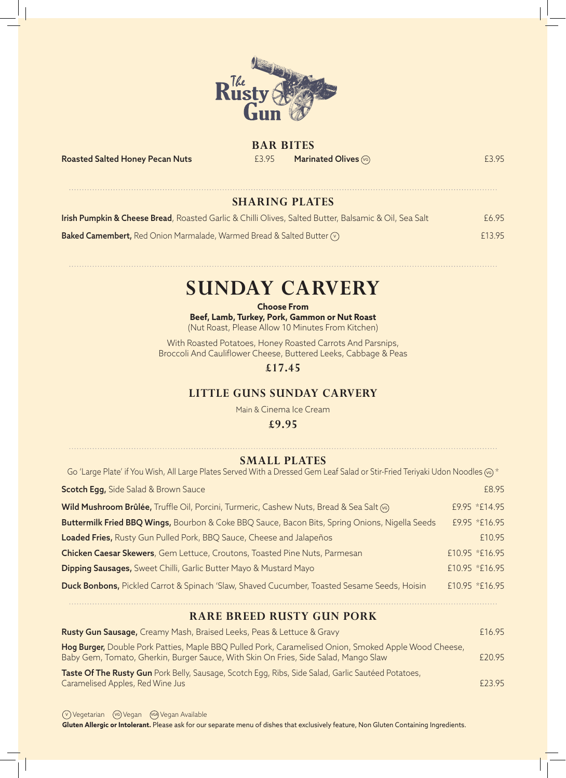

| <b>BAR BITES</b>                       |       |                                        |       |
|----------------------------------------|-------|----------------------------------------|-------|
| <b>Roasted Salted Honey Pecan Nuts</b> | £3.95 | <b>Marinated Olives</b> $\circledcirc$ | £3.95 |
|                                        |       |                                        |       |

**SHARING PLATES**

| Irish Pumpkin & Cheese Bread, Roasted Garlic & Chilli Olives, Salted Butter, Balsamic & Oil, Sea Salt           | £6.95  |
|-----------------------------------------------------------------------------------------------------------------|--------|
| <b>Baked Camembert, Red Onion Marmalade, Warmed Bread &amp; Salted Butter <math>\widehat{\mathbf{v}}</math></b> | £13.95 |

# **SUNDAY CARVERY**

**Choose From Beef, Lamb, Turkey, Pork, Gammon or Nut Roast**  (Nut Roast, Please Allow 10 Minutes From Kitchen)

With Roasted Potatoes, Honey Roasted Carrots And Parsnips, Broccoli And Cauliflower Cheese, Buttered Leeks, Cabbage & Peas

**£17.45**

# **LITTLE GUNS SUNDAY CARVERY**

Main & Cinema Ice Cream

### **£9.95**

#### **SMALL PLATES**

| Go 'Large Plate' if You Wish, All Large Plates Served With a Dressed Gem Leaf Salad or Stir-Fried Teriyaki Udon Noodles (%) * |                |
|-------------------------------------------------------------------------------------------------------------------------------|----------------|
| <b>Scotch Egg, Side Salad &amp; Brown Sauce</b>                                                                               | £8.95          |
| Wild Mushroom Brûlée, Truffle Oil, Porcini, Turmeric, Cashew Nuts, Bread & Sea Salt (6)                                       | £9.95 *£14.95  |
| Buttermilk Fried BBQ Wings, Bourbon & Coke BBQ Sauce, Bacon Bits, Spring Onions, Nigella Seeds                                | £9.95 *£16.95  |
| Loaded Fries, Rusty Gun Pulled Pork, BBQ Sauce, Cheese and Jalapeños                                                          | £10.95         |
| <b>Chicken Caesar Skewers, Gem Lettuce, Croutons, Toasted Pine Nuts, Parmesan</b>                                             | £10.95 *£16.95 |
| Dipping Sausages, Sweet Chilli, Garlic Butter Mayo & Mustard Mayo                                                             | £10.95 *£16.95 |
| Duck Bonbons, Pickled Carrot & Spinach 'Slaw, Shaved Cucumber, Toasted Sesame Seeds, Hoisin                                   | £10.95 *£16.95 |
|                                                                                                                               |                |

# **RARE BREED RUSTY GUN PORK**

| Rusty Gun Sausage, Creamy Mash, Braised Leeks, Peas & Lettuce & Gravy                                                                                                                       | £16.95 |
|---------------------------------------------------------------------------------------------------------------------------------------------------------------------------------------------|--------|
| Hog Burger, Double Pork Patties, Maple BBQ Pulled Pork, Caramelised Onion, Smoked Apple Wood Cheese,<br>Baby Gem, Tomato, Gherkin, Burger Sauce, With Skin On Fries, Side Salad, Mango Slaw | £20.95 |
| Taste Of The Rusty Gun Pork Belly, Sausage, Scotch Egg, Ribs, Side Salad, Garlic Sautéed Potatoes,<br>Caramelised Apples, Red Wine Jus                                                      | £23.95 |

<sup>V</sup> Vegetarian VG Vegan VGA Vegan Available **Gluten Allergic or Intolerant.** Please ask for our separate menu of dishes that exclusively feature, Non Gluten Containing Ingredients.